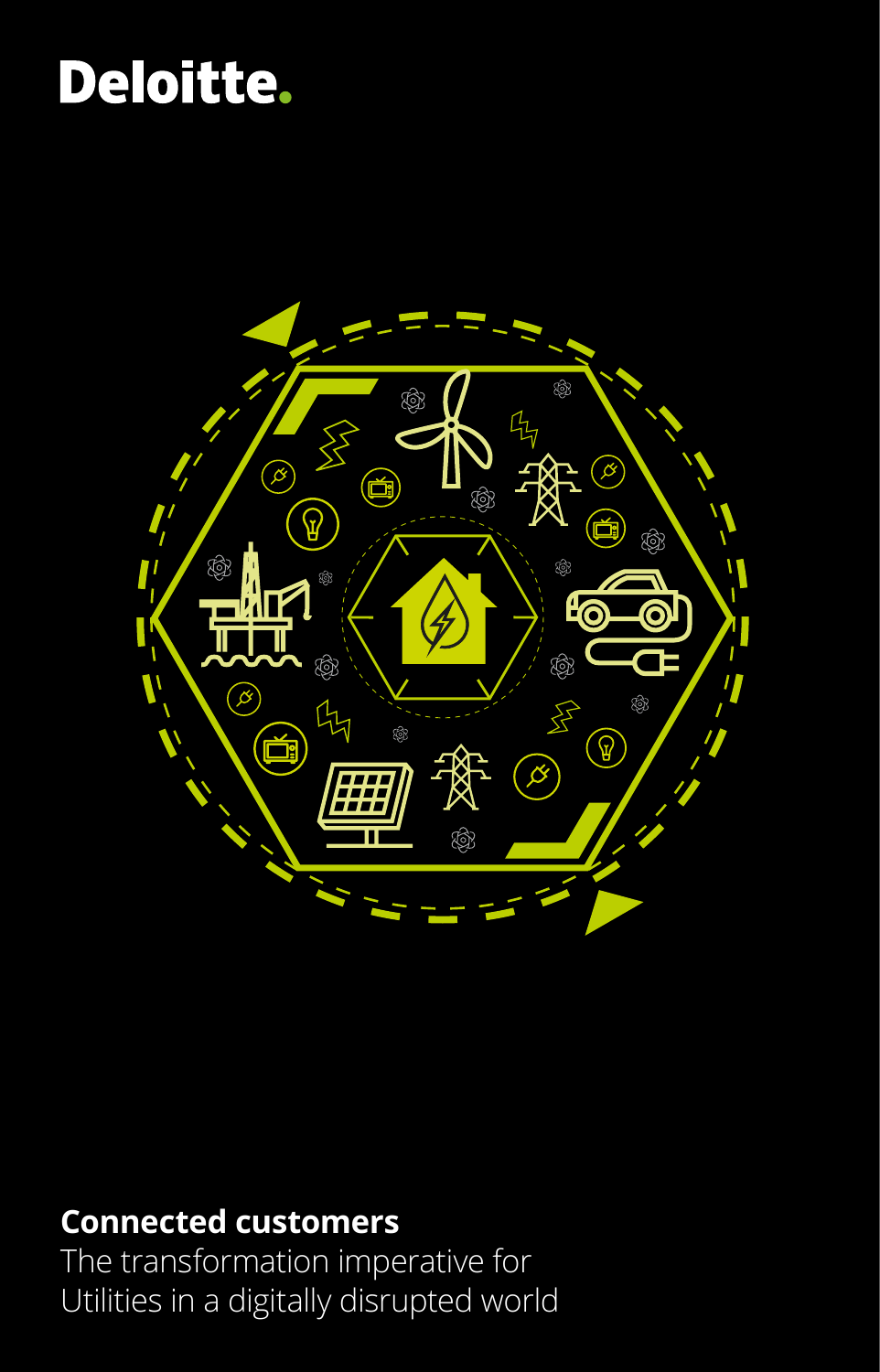# Deloitte.



### **Connected customers**

The transformation imperative for Utilities in a digitally disrupted world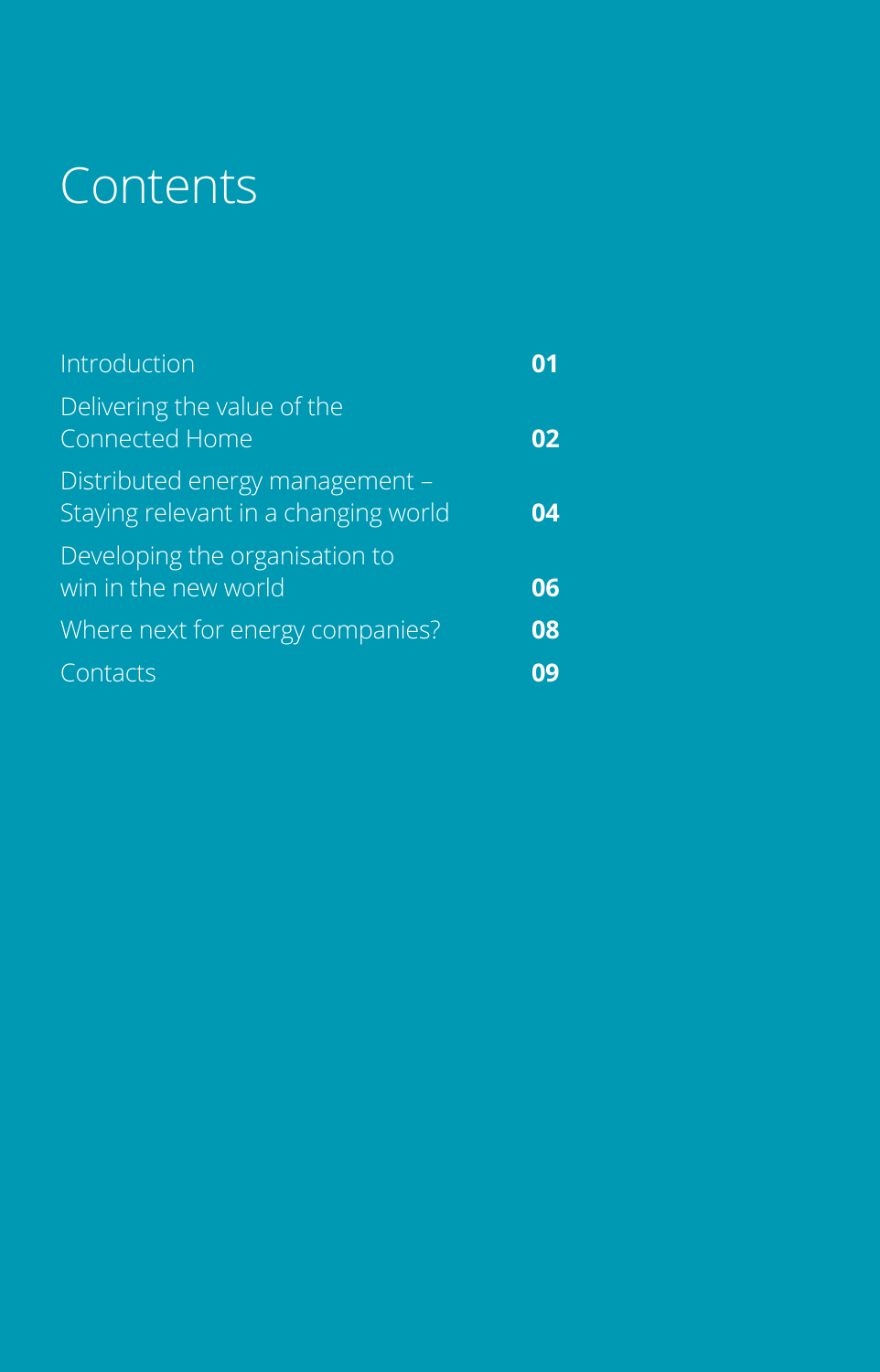## Contents

| Introduction                                                            |    |
|-------------------------------------------------------------------------|----|
| Delivering the value of the<br>Connected Home                           |    |
| Distributed energy management -<br>Staying relevant in a changing world | 04 |
| Developing the organisation to<br>win in the new world                  | 06 |
| Where next for energy companies?                                        | 08 |
| Contacts                                                                |    |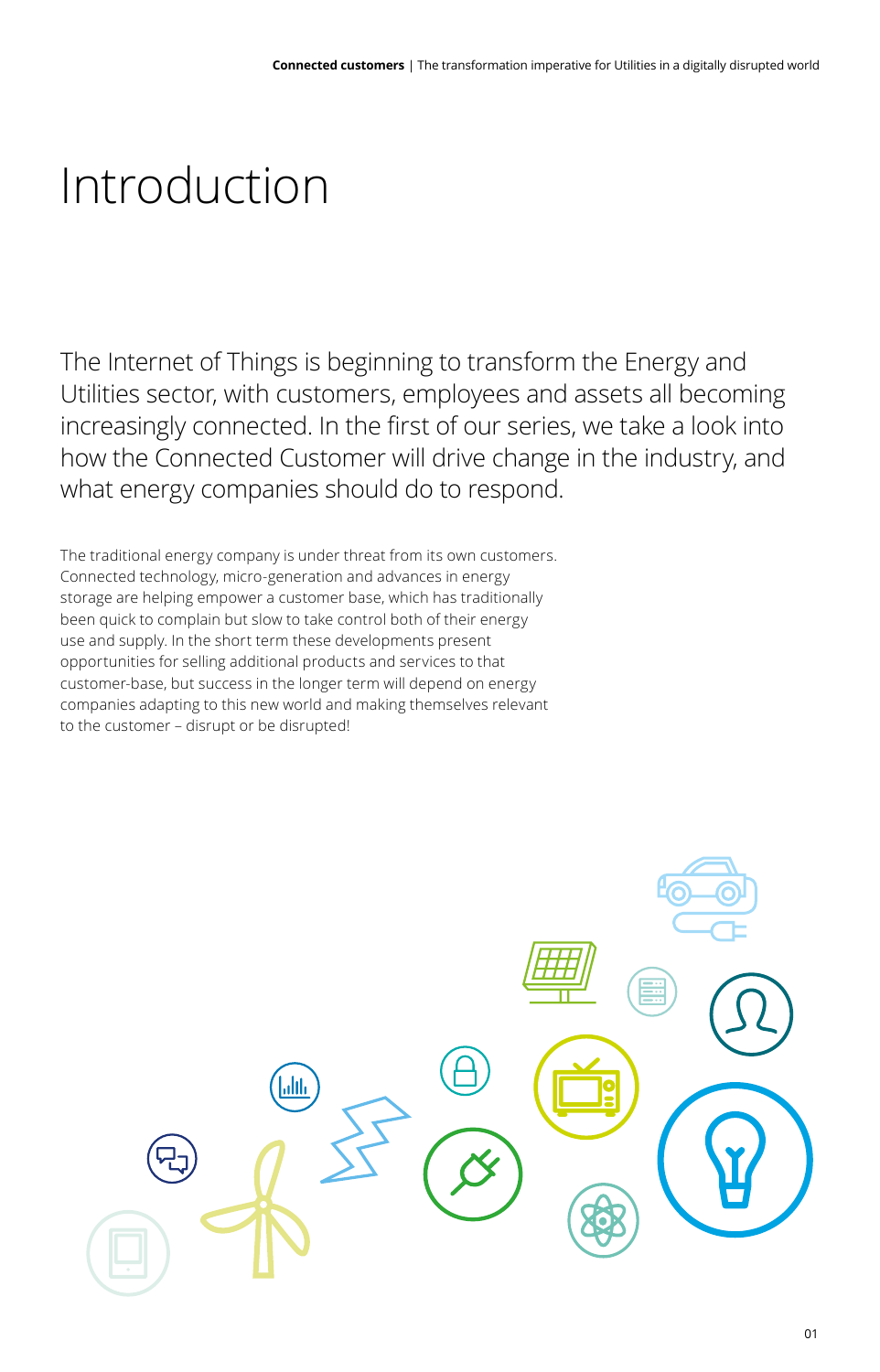### Introduction

The Internet of Things is beginning to transform the Energy and Utilities sector, with customers, employees and assets all becoming increasingly connected. In the first of our series, we take a look into how the Connected Customer will drive change in the industry, and what energy companies should do to respond.

The traditional energy company is under threat from its own customers. Connected technology, micro-generation and advances in energy storage are helping empower a customer base, which has traditionally been quick to complain but slow to take control both of their energy use and supply. In the short term these developments present opportunities for selling additional products and services to that customer-base, but success in the longer term will depend on energy companies adapting to this new world and making themselves relevant to the customer – disrupt or be disrupted!

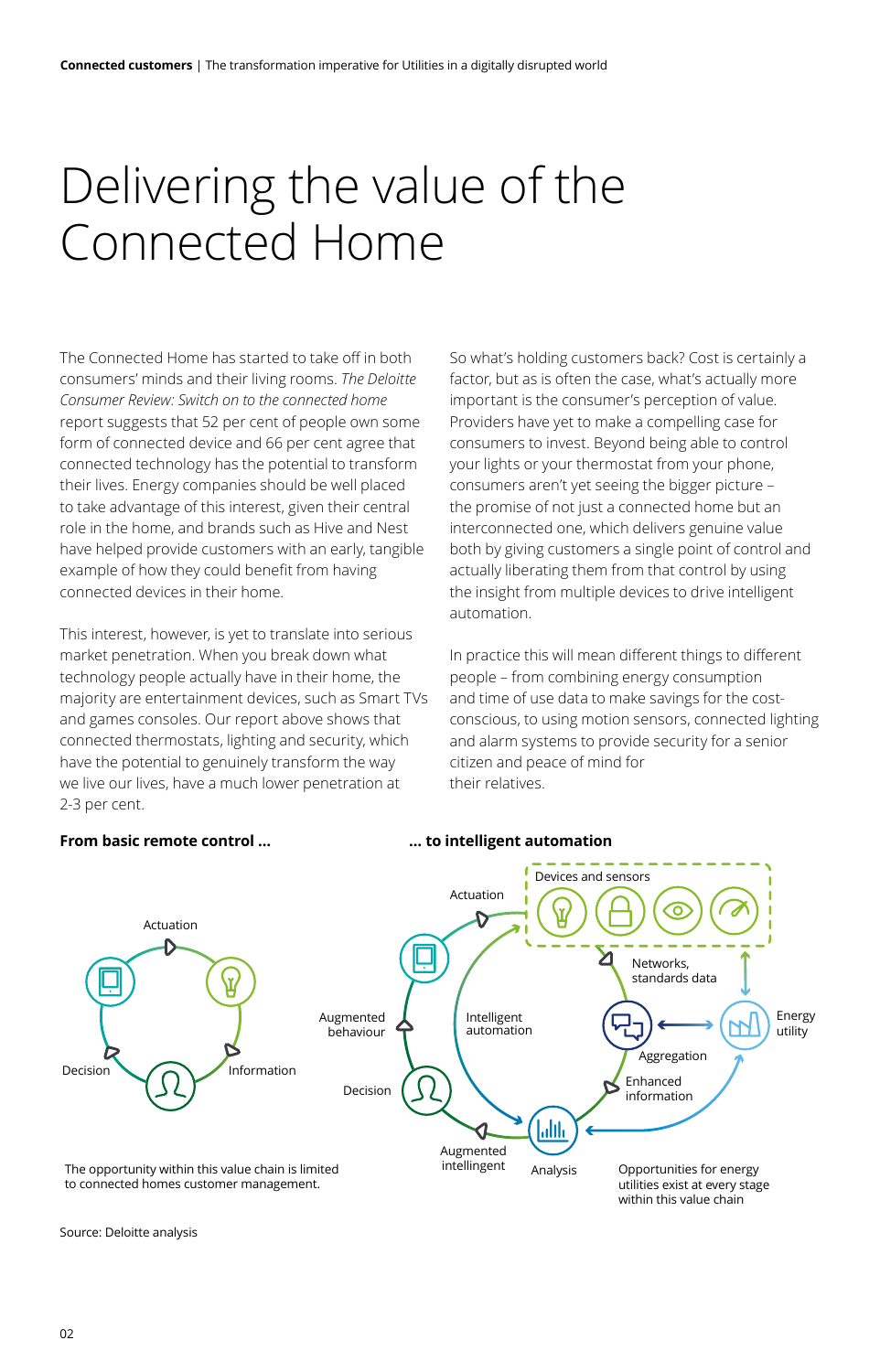### Delivering the value of the Connected Home

The Connected Home has started to take off in both consumers' minds and their living rooms. *The Deloitte Consumer Review: Switch on to the connected home* report suggests that 52 per cent of people own some form of connected device and 66 per cent agree that connected technology has the potential to transform their lives. Energy companies should be well placed to take advantage of this interest, given their central role in the home, and brands such as Hive and Nest have helped provide customers with an early, tangible example of how they could benefit from having connected devices in their home.

This interest, however, is yet to translate into serious market penetration. When you break down what technology people actually have in their home, the majority are entertainment devices, such as Smart TVs and games consoles. Our report above shows that connected thermostats, lighting and security, which have the potential to genuinely transform the way we live our lives, have a much lower penetration at 2-3 per cent.

So what's holding customers back? Cost is certainly a factor, but as is often the case, what's actually more important is the consumer's perception of value. Providers have yet to make a compelling case for consumers to invest. Beyond being able to control your lights or your thermostat from your phone, consumers aren't yet seeing the bigger picture – the promise of not just a connected home but an interconnected one, which delivers genuine value both by giving customers a single point of control and actually liberating them from that control by using the insight from multiple devices to drive intelligent automation.

In practice this will mean different things to different people – from combining energy consumption and time of use data to make savings for the costconscious, to using motion sensors, connected lighting and alarm systems to provide security for a senior citizen and peace of mind for their relatives.

#### **From basic remote control …**

#### **… to intelligent automation**



Source: Deloitte analysis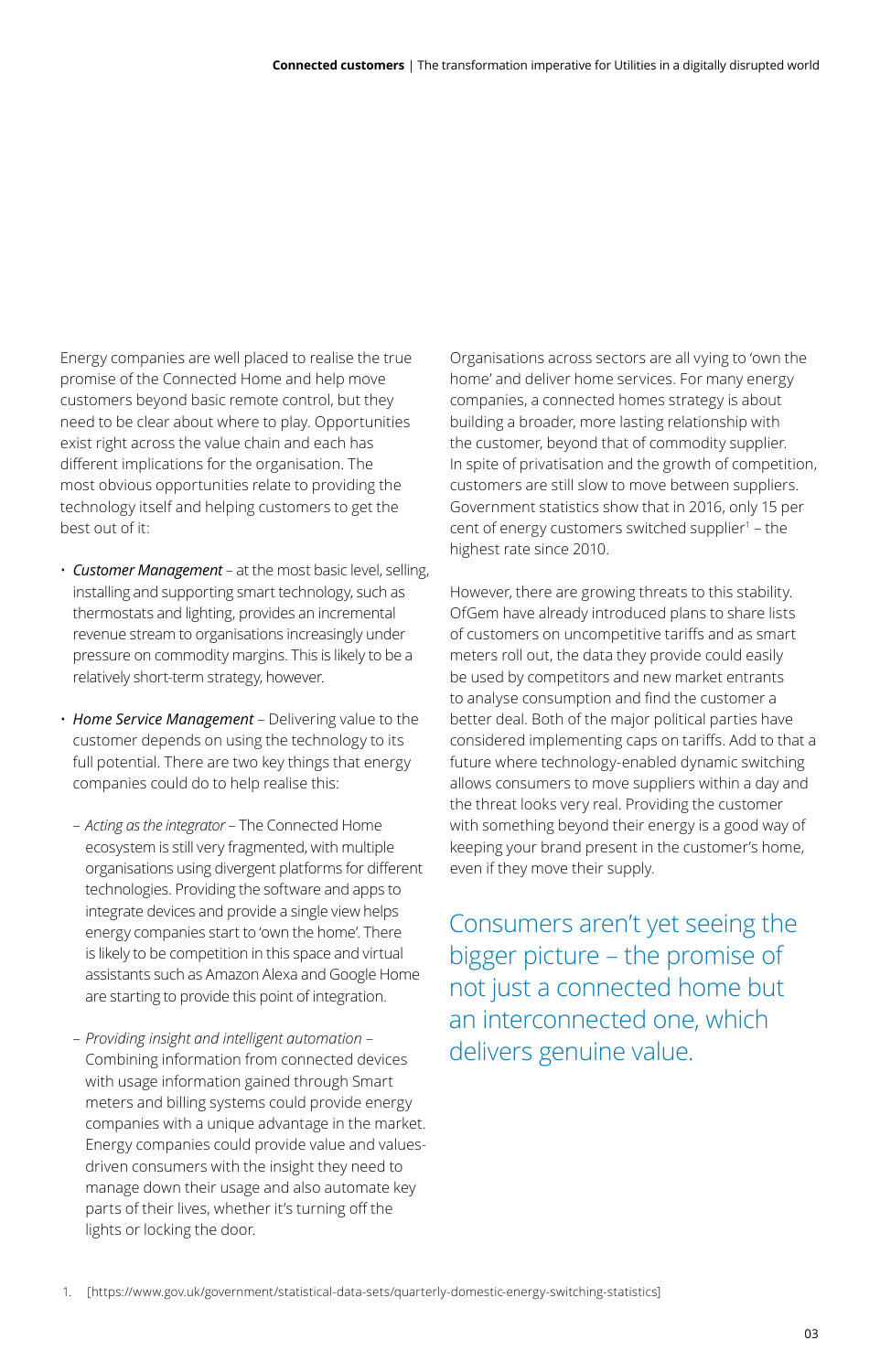Energy companies are well placed to realise the true promise of the Connected Home and help move customers beyond basic remote control, but they need to be clear about where to play. Opportunities exist right across the value chain and each has different implications for the organisation. The most obvious opportunities relate to providing the technology itself and helping customers to get the best out of it:

- • *Customer Management* at the most basic level, selling, installing and supporting smart technology, such as thermostats and lighting, provides an incremental revenue stream to organisations increasingly under pressure on commodity margins. This is likely to be a relatively short-term strategy, however.
- *Home Service Management* Delivering value to the customer depends on using the technology to its full potential. There are two key things that energy companies could do to help realise this:
	- *Acting as the integrator* The Connected Home ecosystem is still very fragmented, with multiple organisations using divergent platforms for different technologies. Providing the software and apps to integrate devices and provide a single view helps energy companies start to 'own the home'. There is likely to be competition in this space and virtual assistants such as Amazon Alexa and Google Home are starting to provide this point of integration.
	- *Providing insight and intelligent automation* Combining information from connected devices with usage information gained through Smart meters and billing systems could provide energy companies with a unique advantage in the market. Energy companies could provide value and valuesdriven consumers with the insight they need to manage down their usage and also automate key parts of their lives, whether it's turning off the lights or locking the door.

Organisations across sectors are all vying to 'own the home' and deliver home services. For many energy companies, a connected homes strategy is about building a broader, more lasting relationship with the customer, beyond that of commodity supplier. In spite of privatisation and the growth of competition, customers are still slow to move between suppliers. Government statistics show that in 2016, only 15 per cent of energy customers switched supplier $1 -$ the highest rate since 2010.

However, there are growing threats to this stability. OfGem have already introduced plans to share lists of customers on uncompetitive tariffs and as smart meters roll out, the data they provide could easily be used by competitors and new market entrants to analyse consumption and find the customer a better deal. Both of the major political parties have considered implementing caps on tariffs. Add to that a future where technology-enabled dynamic switching allows consumers to move suppliers within a day and the threat looks very real. Providing the customer with something beyond their energy is a good way of keeping your brand present in the customer's home, even if they move their supply.

Consumers aren't yet seeing the bigger picture – the promise of not just a connected home but an interconnected one, which delivers genuine value.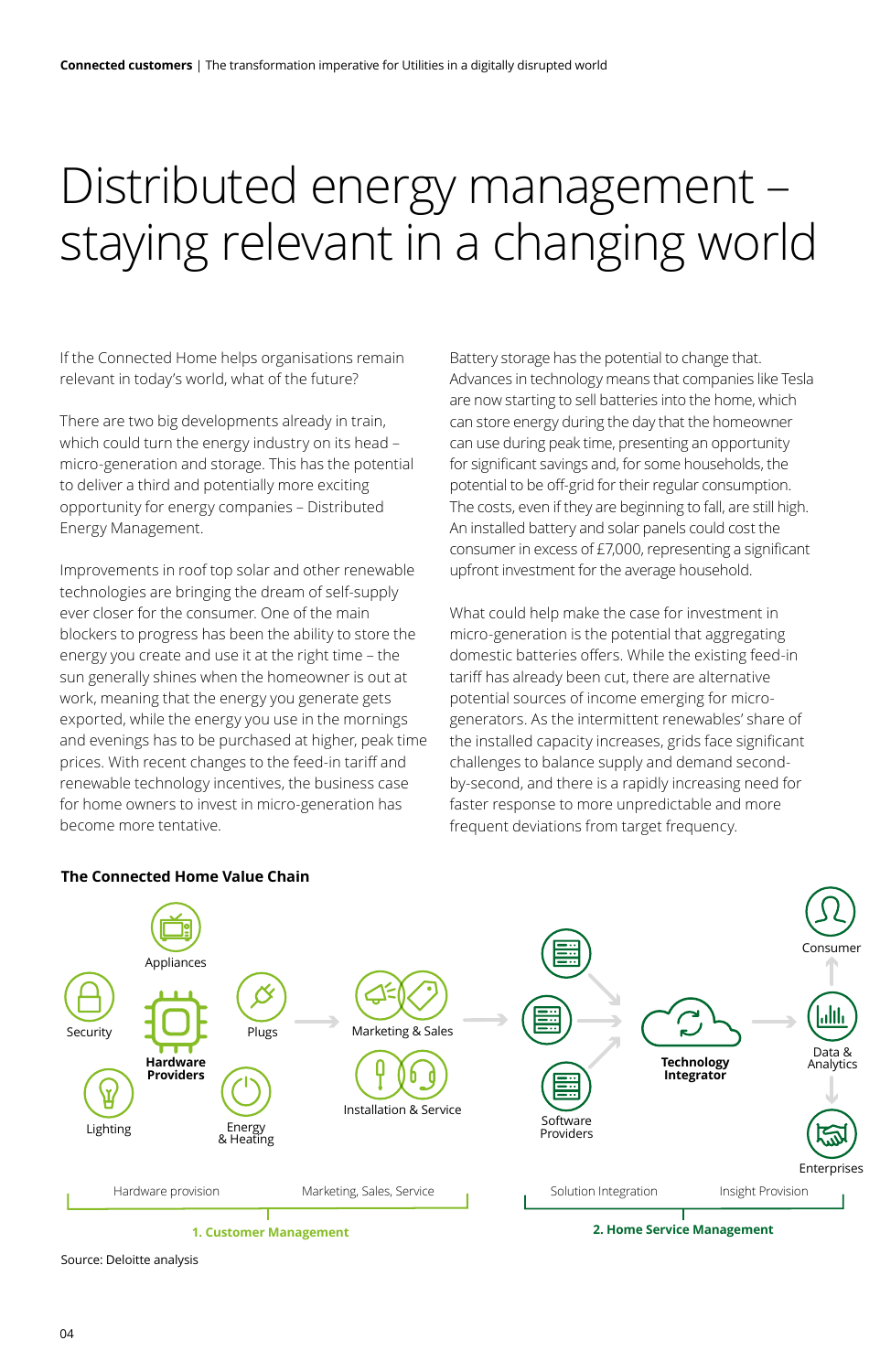### Distributed energy management – staying relevant in a changing world

If the Connected Home helps organisations remain relevant in today's world, what of the future?

There are two big developments already in train, which could turn the energy industry on its head – micro-generation and storage. This has the potential to deliver a third and potentially more exciting opportunity for energy companies – Distributed Energy Management.

Improvements in roof top solar and other renewable technologies are bringing the dream of self-supply ever closer for the consumer. One of the main blockers to progress has been the ability to store the energy you create and use it at the right time – the sun generally shines when the homeowner is out at work, meaning that the energy you generate gets exported, while the energy you use in the mornings and evenings has to be purchased at higher, peak time prices. With recent changes to the feed-in tariff and renewable technology incentives, the business case for home owners to invest in micro-generation has become more tentative.

Battery storage has the potential to change that. Advances in technology means that companies like Tesla are now starting to sell batteries into the home, which can store energy during the day that the homeowner can use during peak time, presenting an opportunity for significant savings and, for some households, the potential to be off-grid for their regular consumption. The costs, even if they are beginning to fall, are still high. An installed battery and solar panels could cost the consumer in excess of £7,000, representing a significant upfront investment for the average household.

What could help make the case for investment in micro-generation is the potential that aggregating domestic batteries offers. While the existing feed-in tariff has already been cut, there are alternative potential sources of income emerging for microgenerators. As the intermittent renewables' share of the installed capacity increases, grids face significant challenges to balance supply and demand secondby-second, and there is a rapidly increasing need for faster response to more unpredictable and more frequent deviations from target frequency.



**The Connected Home Value Chain** 

Source: Deloitte analysis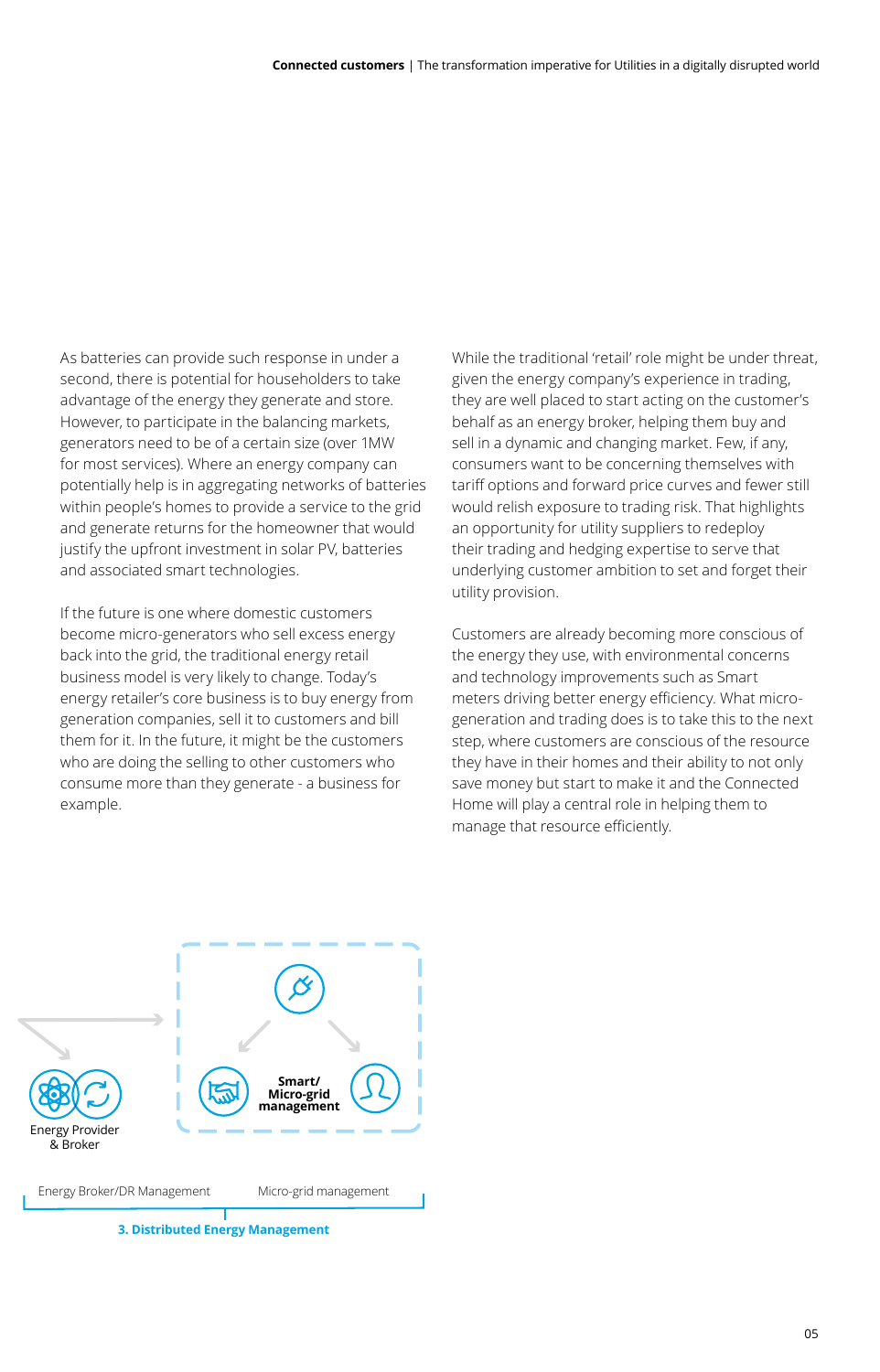As batteries can provide such response in under a second, there is potential for householders to take advantage of the energy they generate and store. However, to participate in the balancing markets, generators need to be of a certain size (over 1MW for most services). Where an energy company can potentially help is in aggregating networks of batteries within people's homes to provide a service to the grid and generate returns for the homeowner that would justify the upfront investment in solar PV, batteries and associated smart technologies.

If the future is one where domestic customers become micro-generators who sell excess energy back into the grid, the traditional energy retail business model is very likely to change. Today's energy retailer's core business is to buy energy from generation companies, sell it to customers and bill them for it. In the future, it might be the customers who are doing the selling to other customers who consume more than they generate - a business for example.

While the traditional 'retail' role might be under threat, given the energy company's experience in trading, they are well placed to start acting on the customer's behalf as an energy broker, helping them buy and sell in a dynamic and changing market. Few, if any, consumers want to be concerning themselves with tariff options and forward price curves and fewer still would relish exposure to trading risk. That highlights an opportunity for utility suppliers to redeploy their trading and hedging expertise to serve that underlying customer ambition to set and forget their utility provision.

Customers are already becoming more conscious of the energy they use, with environmental concerns and technology improvements such as Smart meters driving better energy efficiency. What microgeneration and trading does is to take this to the next step, where customers are conscious of the resource they have in their homes and their ability to not only save money but start to make it and the Connected Home will play a central role in helping them to manage that resource efficiently.

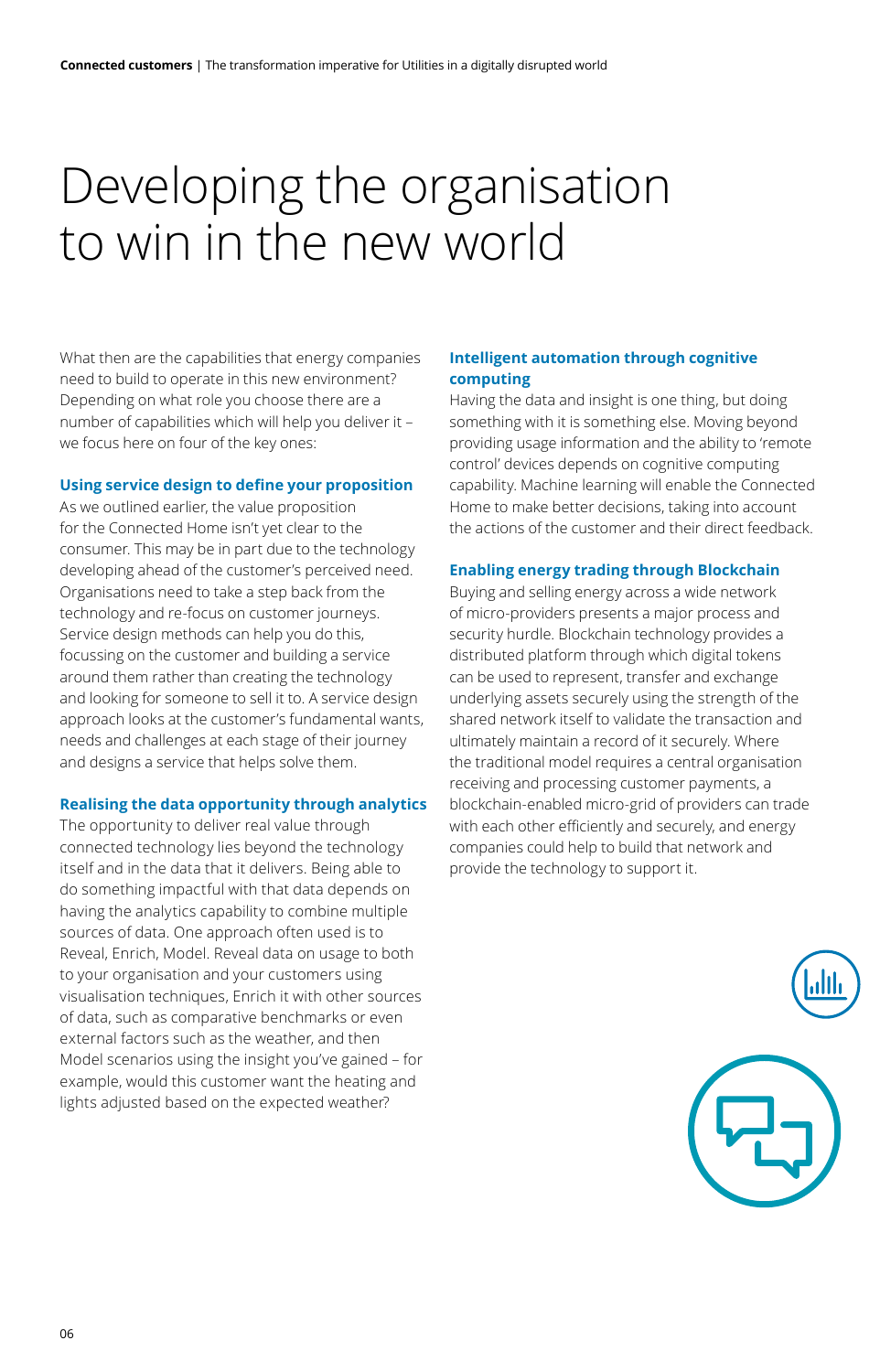### Developing the organisation to win in the new world

What then are the capabilities that energy companies need to build to operate in this new environment? Depending on what role you choose there are a number of capabilities which will help you deliver it – we focus here on four of the key ones:

#### **Using service design to define your proposition**

As we outlined earlier, the value proposition for the Connected Home isn't yet clear to the consumer. This may be in part due to the technology developing ahead of the customer's perceived need. Organisations need to take a step back from the technology and re-focus on customer journeys. Service design methods can help you do this, focussing on the customer and building a service around them rather than creating the technology and looking for someone to sell it to. A service design approach looks at the customer's fundamental wants, needs and challenges at each stage of their journey and designs a service that helps solve them.

#### **Realising the data opportunity through analytics**

The opportunity to deliver real value through connected technology lies beyond the technology itself and in the data that it delivers. Being able to do something impactful with that data depends on having the analytics capability to combine multiple sources of data. One approach often used is to Reveal, Enrich, Model. Reveal data on usage to both to your organisation and your customers using visualisation techniques, Enrich it with other sources of data, such as comparative benchmarks or even external factors such as the weather, and then Model scenarios using the insight you've gained – for example, would this customer want the heating and lights adjusted based on the expected weather?

#### **Intelligent automation through cognitive computing**

Having the data and insight is one thing, but doing something with it is something else. Moving beyond providing usage information and the ability to 'remote control' devices depends on cognitive computing capability. Machine learning will enable the Connected Home to make better decisions, taking into account the actions of the customer and their direct feedback.

#### **Enabling energy trading through Blockchain**

Buying and selling energy across a wide network of micro-providers presents a major process and security hurdle. Blockchain technology provides a distributed platform through which digital tokens can be used to represent, transfer and exchange underlying assets securely using the strength of the shared network itself to validate the transaction and ultimately maintain a record of it securely. Where the traditional model requires a central organisation receiving and processing customer payments, a blockchain-enabled micro-grid of providers can trade with each other efficiently and securely, and energy companies could help to build that network and provide the technology to support it.

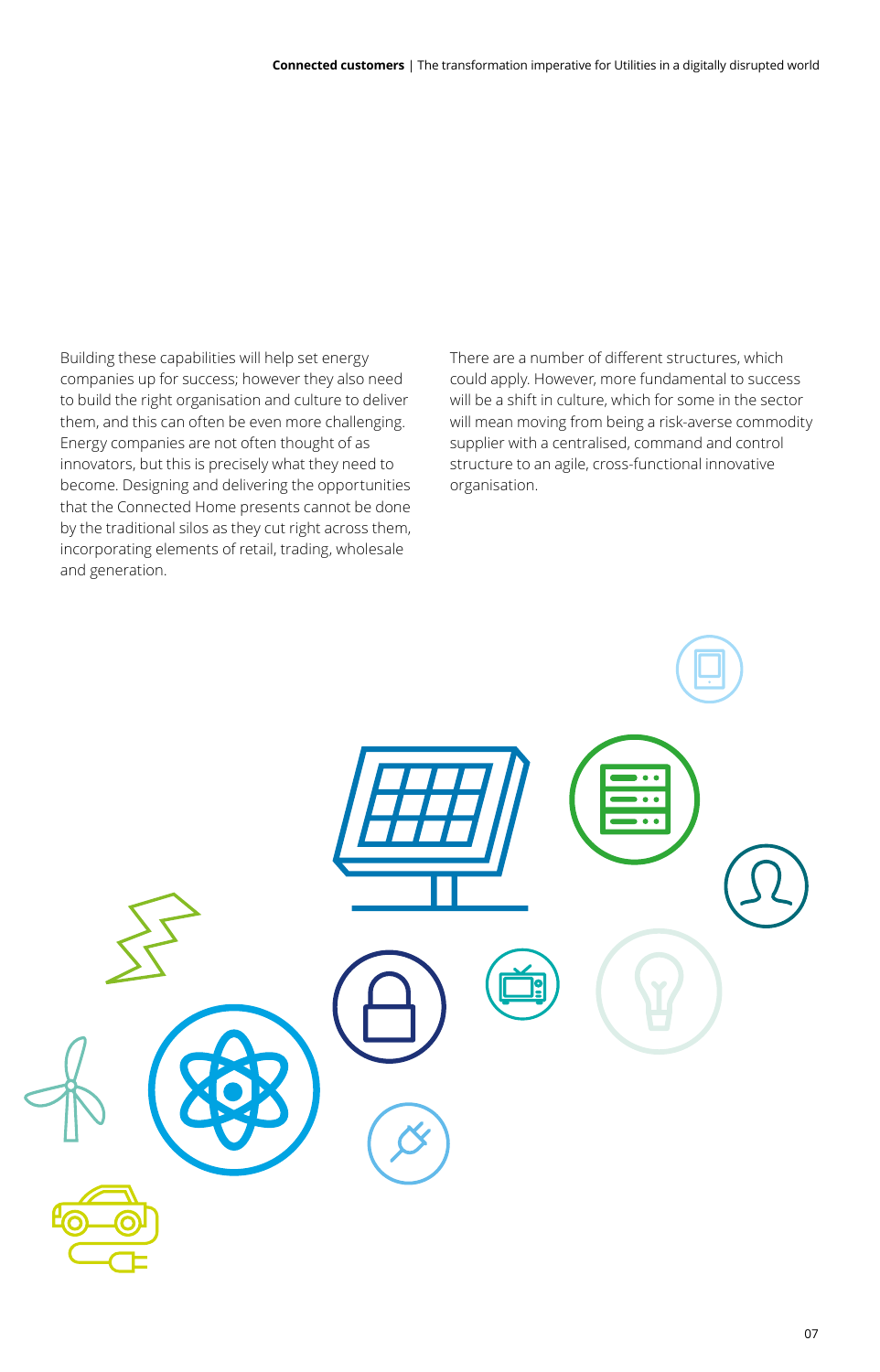Building these capabilities will help set energy companies up for success; however they also need to build the right organisation and culture to deliver them, and this can often be even more challenging. Energy companies are not often thought of as innovators, but this is precisely what they need to become. Designing and delivering the opportunities that the Connected Home presents cannot be done by the traditional silos as they cut right across them, incorporating elements of retail, trading, wholesale and generation.

There are a number of different structures, which could apply. However, more fundamental to success will be a shift in culture, which for some in the sector will mean moving from being a risk-averse commodity supplier with a centralised, command and control structure to an agile, cross-functional innovative organisation.

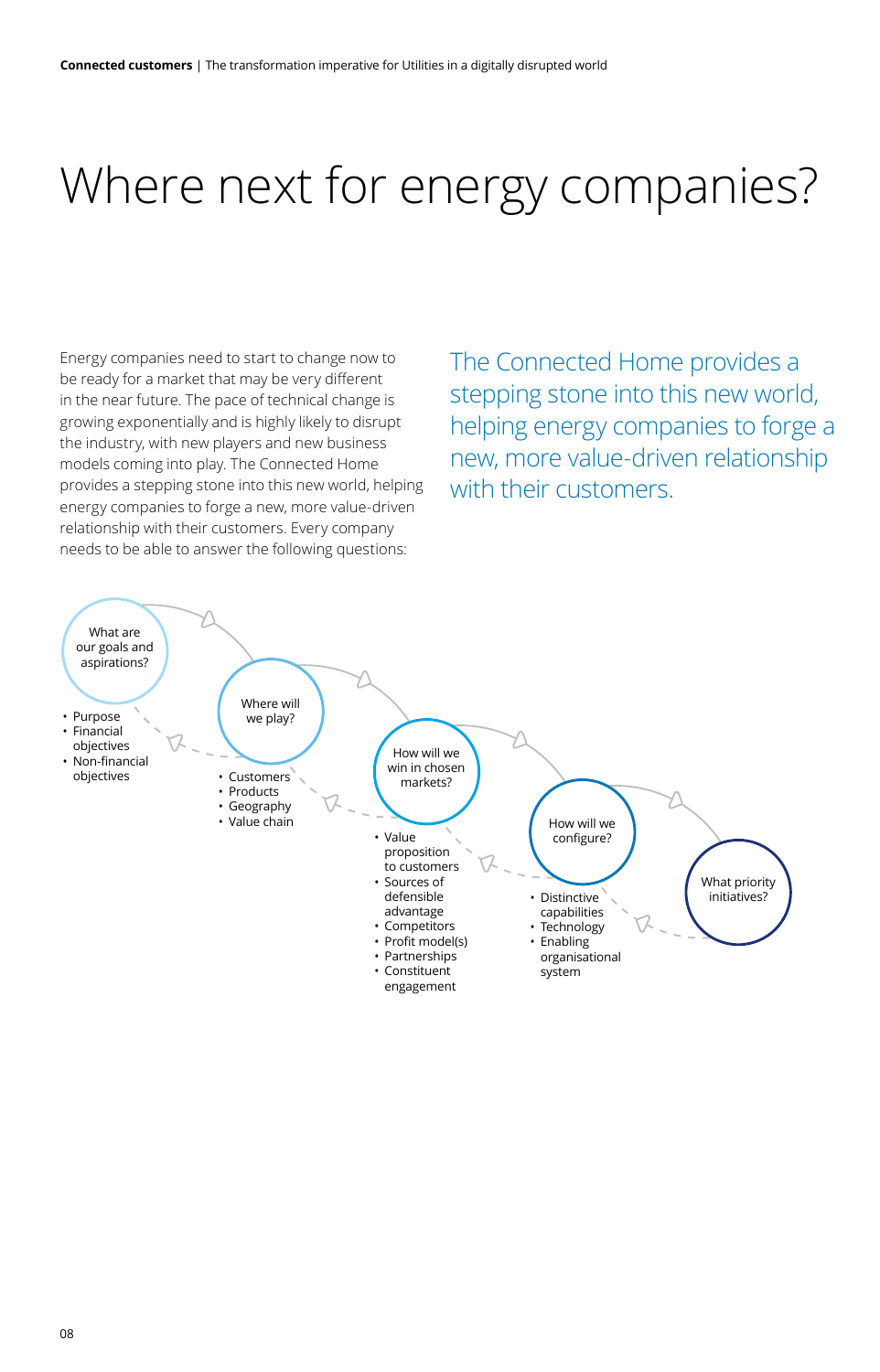### Where next for energy companies?

Energy companies need to start to change now to be ready for a market that may be very different in the near future. The pace of technical change is growing exponentially and is highly likely to disrupt the industry, with new players and new business models coming into play. The Connected Home provides a stepping stone into this new world, helping energy companies to forge a new, more value-driven relationship with their customers. Every company needs to be able to answer the following questions: **Strategy framework**

The Connected Home provides a stepping stone into this new world, helping energy companies to forge a new, more value-driven relationship with their customers.

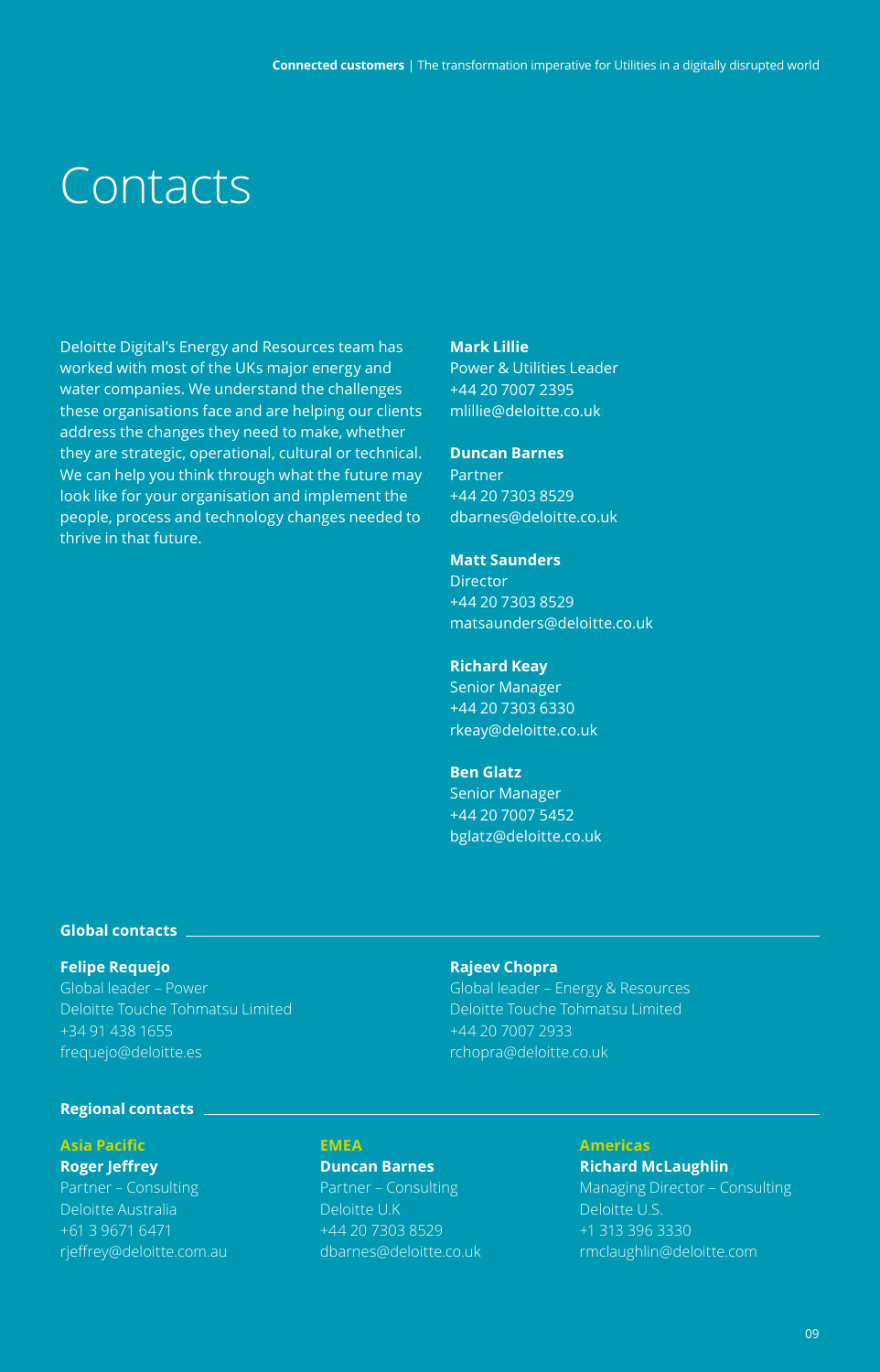### Contacts

Deloitte Digital's Energy and Resources team has worked with most of the UKs major energy and water companies. We understand the challenges these organisations face and are helping our clients address the changes they need to make, whether they are strategic, operational, cultural or technical. We can help you think through what the future may look like for your organisation and implement the people, process and technology changes needed to thrive in that future.

#### **Mark Lillie**

Power & Utilities Leader +44 20 7007 2395 mlillie@deloitte.co.uk

#### **Duncan Barnes**

Partner +44 20 7303 8529 dbarnes@deloitte.co.uk

#### **Matt Saunders**

**Director** +44 20 7303 8529 matsaunders@deloitte.co.uk

#### **Richard Keay**

Senior Manager +44 20 7303 6330 rkeay@deloitte.co.uk

#### **Ben Glatz**

Senior Manager +44 20 7007 5452 bglatz@deloitte.co.uk

#### **Global contacts**

#### **Felipe Requejo**

Global leader – Power Deloitte Touche Tohmatsu Limited +34 91 438 1655 frequejo@deloitte.es

#### **Rajeev Chopra**

Global leader – Energy & Resources Deloitte Touche Tohmatsu Limited +44 20 7007 2933 rchopra@deloitte.co.uk

#### **Regional contacts**

#### **Asia Pacific**

#### **Roger Jeffrey** Partner – Consulting

Deloitte Australia +61 3 9671 6471 rjeffrey@deloitte.com.au

#### **Duncan Barnes**

**EMEA**

Partner – Consulting Deloitte U.K +44 20 7303 8529 dbarnes@deloitte.co.uk

#### **Americas**

**Richard McLaughlin** Managing Director – Consulting Deloitte U.S. +1 313 396 3330 rmclaughlin@deloitte.com